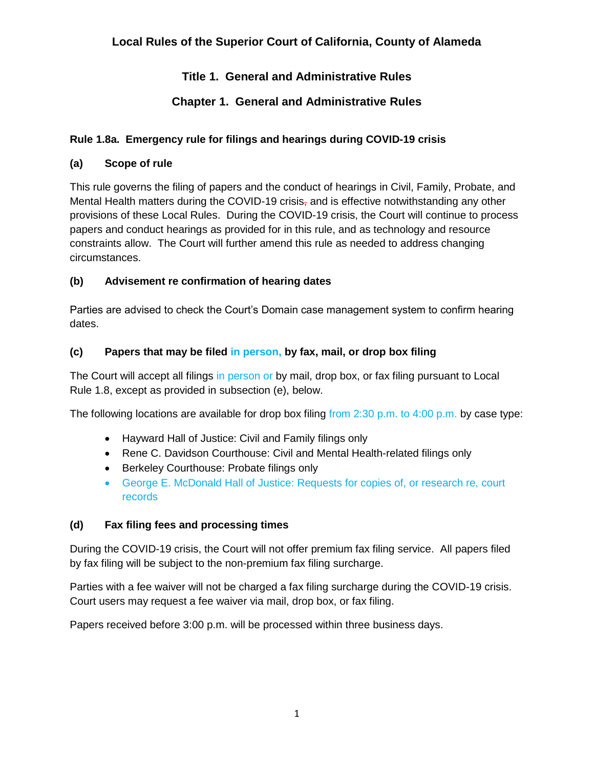# **Title 1. General and Administrative Rules**

# **Chapter 1. General and Administrative Rules**

## **Rule 1.8a. Emergency rule for filings and hearings during COVID-19 crisis**

## **(a) Scope of rule**

This rule governs the filing of papers and the conduct of hearings in Civil, Family, Probate, and Mental Health matters during the COVID-19 crisis, and is effective notwithstanding any other provisions of these Local Rules. During the COVID-19 crisis, the Court will continue to process papers and conduct hearings as provided for in this rule, and as technology and resource constraints allow. The Court will further amend this rule as needed to address changing circumstances.

### **(b) Advisement re confirmation of hearing dates**

Parties are advised to check the Court's Domain case management system to confirm hearing dates.

## **(c) Papers that may be filed in person, by fax, mail, or drop box filing**

The Court will accept all filings in person or by mail, drop box, or fax filing pursuant to Local Rule 1.8, except as provided in subsection (e), below.

The following locations are available for drop box filing from  $2:30$  p.m. to  $4:00$  p.m. by case type:

- Hayward Hall of Justice: Civil and Family filings only
- Rene C. Davidson Courthouse: Civil and Mental Health-related filings only
- Berkeley Courthouse: Probate filings only
- George E. McDonald Hall of Justice: Requests for copies of, or research re, court records

### **(d) Fax filing fees and processing times**

During the COVID-19 crisis, the Court will not offer premium fax filing service. All papers filed by fax filing will be subject to the non-premium fax filing surcharge.

Parties with a fee waiver will not be charged a fax filing surcharge during the COVID-19 crisis. Court users may request a fee waiver via mail, drop box, or fax filing.

Papers received before 3:00 p.m. will be processed within three business days.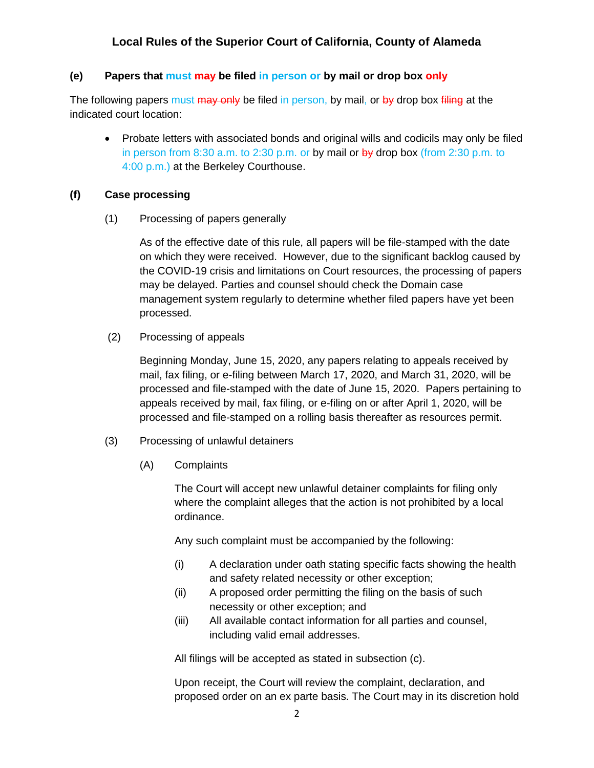### **(e) Papers that must may be filed in person or by mail or drop box only**

The following papers must may only be filed in person, by mail, or by drop box filling at the indicated court location:

• Probate letters with associated bonds and original wills and codicils may only be filed in person from  $8:30$  a.m. to  $2:30$  p.m. or by mail or  $by$  drop box (from  $2:30$  p.m. to 4:00 p.m.) at the Berkeley Courthouse.

#### **(f) Case processing**

(1) Processing of papers generally

As of the effective date of this rule, all papers will be file-stamped with the date on which they were received. However, due to the significant backlog caused by the COVID-19 crisis and limitations on Court resources, the processing of papers may be delayed. Parties and counsel should check the Domain case management system regularly to determine whether filed papers have yet been processed.

(2) Processing of appeals

Beginning Monday, June 15, 2020, any papers relating to appeals received by mail, fax filing, or e-filing between March 17, 2020, and March 31, 2020, will be processed and file-stamped with the date of June 15, 2020. Papers pertaining to appeals received by mail, fax filing, or e-filing on or after April 1, 2020, will be processed and file-stamped on a rolling basis thereafter as resources permit.

- (3) Processing of unlawful detainers
	- (A) Complaints

The Court will accept new unlawful detainer complaints for filing only where the complaint alleges that the action is not prohibited by a local ordinance.

Any such complaint must be accompanied by the following:

- (i) A declaration under oath stating specific facts showing the health and safety related necessity or other exception;
- (ii) A proposed order permitting the filing on the basis of such necessity or other exception; and
- (iii) All available contact information for all parties and counsel, including valid email addresses.

All filings will be accepted as stated in subsection (c).

Upon receipt, the Court will review the complaint, declaration, and proposed order on an ex parte basis. The Court may in its discretion hold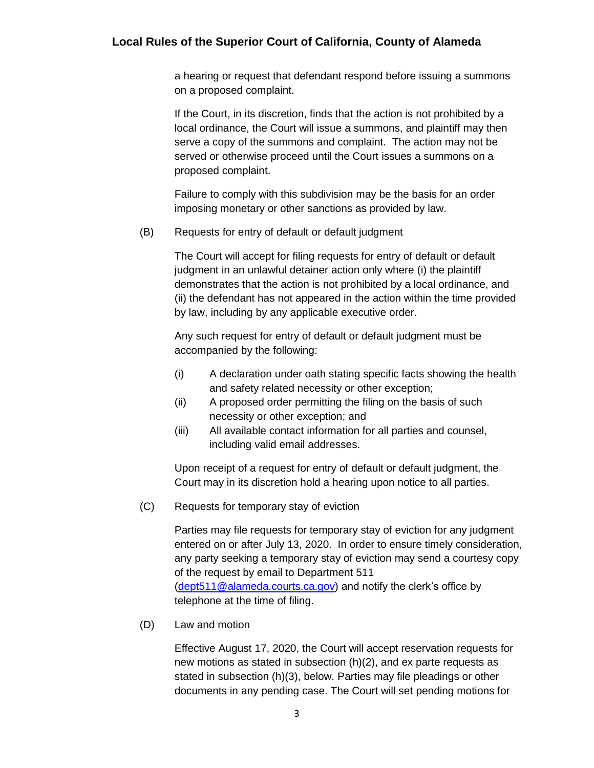a hearing or request that defendant respond before issuing a summons on a proposed complaint.

If the Court, in its discretion, finds that the action is not prohibited by a local ordinance, the Court will issue a summons, and plaintiff may then serve a copy of the summons and complaint. The action may not be served or otherwise proceed until the Court issues a summons on a proposed complaint.

Failure to comply with this subdivision may be the basis for an order imposing monetary or other sanctions as provided by law.

(B) Requests for entry of default or default judgment

The Court will accept for filing requests for entry of default or default judgment in an unlawful detainer action only where (i) the plaintiff demonstrates that the action is not prohibited by a local ordinance, and (ii) the defendant has not appeared in the action within the time provided by law, including by any applicable executive order.

Any such request for entry of default or default judgment must be accompanied by the following:

- (i) A declaration under oath stating specific facts showing the health and safety related necessity or other exception;
- (ii) A proposed order permitting the filing on the basis of such necessity or other exception; and
- (iii) All available contact information for all parties and counsel, including valid email addresses.

Upon receipt of a request for entry of default or default judgment, the Court may in its discretion hold a hearing upon notice to all parties.

(C) Requests for temporary stay of eviction

Parties may file requests for temporary stay of eviction for any judgment entered on or after July 13, 2020. In order to ensure timely consideration, any party seeking a temporary stay of eviction may send a courtesy copy of the request by email to Department 511 [\(dept511@alameda.courts.ca.gov\)](mailto:dept511@alameda.courts.ca.gov) and notify the clerk's office by telephone at the time of filing.

(D) Law and motion

Effective August 17, 2020, the Court will accept reservation requests for new motions as stated in subsection (h)(2), and ex parte requests as stated in subsection (h)(3), below. Parties may file pleadings or other documents in any pending case. The Court will set pending motions for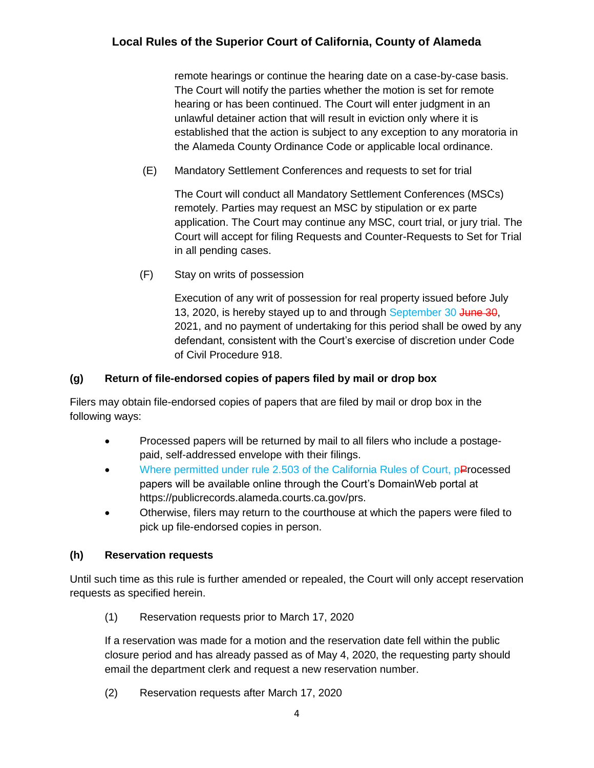remote hearings or continue the hearing date on a case-by-case basis. The Court will notify the parties whether the motion is set for remote hearing or has been continued. The Court will enter judgment in an unlawful detainer action that will result in eviction only where it is established that the action is subject to any exception to any moratoria in the Alameda County Ordinance Code or applicable local ordinance.

(E) Mandatory Settlement Conferences and requests to set for trial

The Court will conduct all Mandatory Settlement Conferences (MSCs) remotely. Parties may request an MSC by stipulation or ex parte application. The Court may continue any MSC, court trial, or jury trial. The Court will accept for filing Requests and Counter-Requests to Set for Trial in all pending cases.

(F) Stay on writs of possession

Execution of any writ of possession for real property issued before July 13, 2020, is hereby stayed up to and through September 30 June 30, 2021, and no payment of undertaking for this period shall be owed by any defendant, consistent with the Court's exercise of discretion under Code of Civil Procedure 918.

## **(g) Return of file-endorsed copies of papers filed by mail or drop box**

Filers may obtain file-endorsed copies of papers that are filed by mail or drop box in the following ways:

- Processed papers will be returned by mail to all filers who include a postagepaid, self-addressed envelope with their filings.
- Where permitted under rule 2.503 of the California Rules of Court, pProcessed papers will be available online through the Court's DomainWeb portal at https://publicrecords.alameda.courts.ca.gov/prs.
- Otherwise, filers may return to the courthouse at which the papers were filed to pick up file-endorsed copies in person.

## **(h) Reservation requests**

Until such time as this rule is further amended or repealed, the Court will only accept reservation requests as specified herein.

(1) Reservation requests prior to March 17, 2020

If a reservation was made for a motion and the reservation date fell within the public closure period and has already passed as of May 4, 2020, the requesting party should email the department clerk and request a new reservation number.

(2) Reservation requests after March 17, 2020